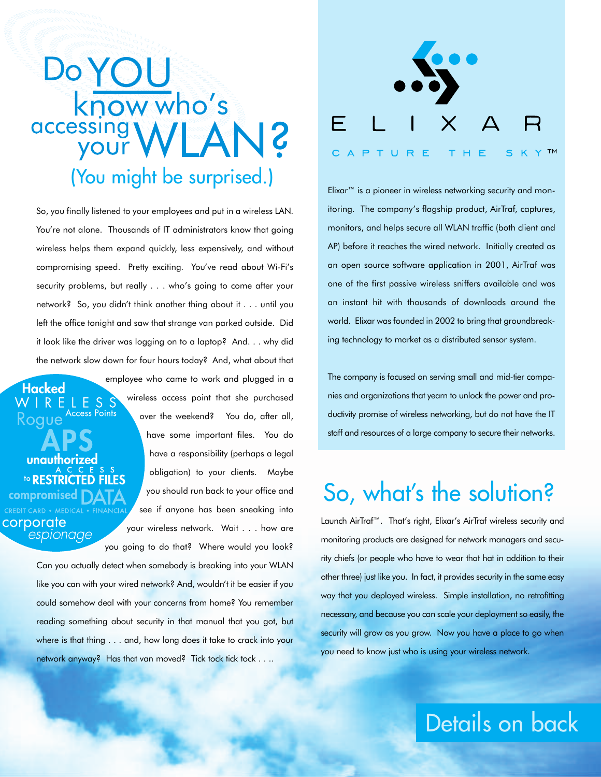# **Do YOU** know who's S WLANS (You might be surprised.)

So, you finally listened to your employees and put in a wireless LAN. You're not alone. Thousands of IT administrators know that going wireless helps them expand quickly, less expensively, and without compromising speed. Pretty exciting. You've read about Wi-Fi's security problems, but really . . . who's going to come after your network? So, you didn't think another thing about it . . . until you left the office tonight and saw that strange van parked outside. Did it look like the driver was logging on to a laptop? And. . . why did the network slow down for four hours today? And, what about that

unauthorized to RESTRICTED FILES corporate espionage you going to do that? Where would you look?

ELESS Access Points

Hacked

Koaue

wireless access point that she purchased over the weekend? You do, after all, have some important files. You do have a responsibility (perhaps a legal obligation) to your clients. Maybe you should run back to your office and see if anyone has been sneaking into your wireless network. Wait . . . how are

employee who came to work and plugged in a

Can you actually detect when somebody is breaking into your WLAN like you can with your wired network? And, wouldn't it be easier if you could somehow deal with your concerns from home? You remember reading something about security in that manual that you got, but where is that thing . . . and, how long does it take to crack into your network anyway? Has that van moved? Tick tock tick tock . . ..



Elixar™ is a pioneer in wireless networking security and monitoring. The company's flagship product, AirTraf, captures, monitors, and helps secure all WLAN traffic (both client and AP) before it reaches the wired network. Initially created as an open source software application in 2001, AirTraf was one of the first passive wireless sniffers available and was an instant hit with thousands of downloads around the world. Elixar was founded in 2002 to bring that groundbreaking technology to market as a distributed sensor system.

The company is focused on serving small and mid-tier companies and organizations that yearn to unlock the power and productivity promise of wireless networking, but do not have the IT staff and resources of a large company to secure their networks.

### So, what's the solution?

Launch AirTraf™. That's right, Elixar's AirTraf wireless security and monitoring products are designed for network managers and security chiefs (or people who have to wear that hat in addition to their other three) just like you. In fact, it provides security in the same easy way that you deployed wireless. Simple installation, no retrofitting necessary, and because you can scale your deployment so easily, the security will grow as you grow. Now you have a place to go when you need to know just who is using your wireless network.

### Details on back